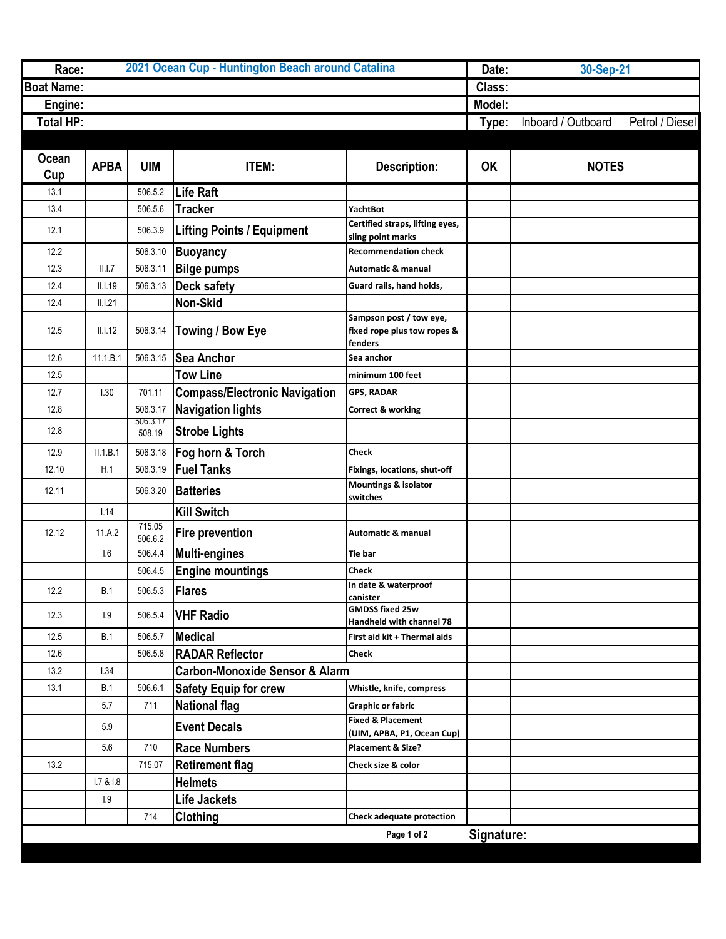| Race:             | 2021 Ocean Cup - Huntington Beach around Catalina |                    |                                           |                                                                   |           | Date:<br>30-Sep-21                    |  |
|-------------------|---------------------------------------------------|--------------------|-------------------------------------------|-------------------------------------------------------------------|-----------|---------------------------------------|--|
| <b>Boat Name:</b> |                                                   |                    |                                           |                                                                   |           |                                       |  |
| Engine:           |                                                   |                    |                                           |                                                                   | Model:    |                                       |  |
| Total HP:         |                                                   |                    |                                           |                                                                   | Type:     | Inboard / Outboard<br>Petrol / Diesel |  |
|                   |                                                   |                    |                                           |                                                                   |           |                                       |  |
| Ocean             |                                                   |                    |                                           |                                                                   |           |                                       |  |
| Cup               | <b>APBA</b>                                       | <b>UIM</b>         | ITEM:                                     | <b>Description:</b>                                               | <b>OK</b> | <b>NOTES</b>                          |  |
| 13.1              |                                                   | 506.5.2            | Life Raft                                 |                                                                   |           |                                       |  |
| 13.4              |                                                   | 506.5.6            | <b>Tracker</b>                            | <b>YachtBot</b>                                                   |           |                                       |  |
| 12.1              |                                                   | 506.3.9            | <b>Lifting Points / Equipment</b>         | Certified straps, lifting eyes,<br>sling point marks              |           |                                       |  |
| 12.2              |                                                   | 506.3.10           | <b>Buoyancy</b>                           | <b>Recommendation check</b>                                       |           |                                       |  |
| 12.3              | II.I.7                                            | 506.3.11           | <b>Bilge pumps</b>                        | <b>Automatic &amp; manual</b>                                     |           |                                       |  |
| 12.4              | II.1.19                                           | 506.3.13           | <b>Deck safety</b>                        | Guard rails, hand holds,                                          |           |                                       |  |
| 12.4              | II.I.21                                           |                    | Non-Skid                                  |                                                                   |           |                                       |  |
| 12.5              | II.I.12                                           | 506.3.14           | Towing / Bow Eye                          | Sampson post / tow eye,<br>fixed rope plus tow ropes &<br>fenders |           |                                       |  |
| 12.6              | 11.1.B.1                                          | 506.3.15           | <b>Sea Anchor</b>                         | Sea anchor                                                        |           |                                       |  |
| 12.5              |                                                   |                    | <b>Tow Line</b>                           | minimum 100 feet                                                  |           |                                       |  |
| 12.7              | 1.30                                              | 701.11             | <b>Compass/Electronic Navigation</b>      | <b>GPS, RADAR</b>                                                 |           |                                       |  |
| 12.8              |                                                   | 506.3.17           | <b>Navigation lights</b>                  | Correct & working                                                 |           |                                       |  |
| 12.8              |                                                   | 506.3.17<br>508.19 | <b>Strobe Lights</b>                      |                                                                   |           |                                       |  |
| 12.9              | II.1.B.1                                          | 506.3.18           | Fog horn & Torch                          | Check                                                             |           |                                       |  |
| 12.10             | H.1                                               | 506.3.19           | <b>Fuel Tanks</b>                         | Fixings, locations, shut-off                                      |           |                                       |  |
| 12.11             |                                                   | 506.3.20           | <b>Batteries</b>                          | <b>Mountings &amp; isolator</b><br>switches                       |           |                                       |  |
|                   | 1.14                                              |                    | <b>Kill Switch</b>                        |                                                                   |           |                                       |  |
| 12.12             | 11.A.2                                            | 715.05<br>506.6.2  | <b>Fire prevention</b>                    | <b>Automatic &amp; manual</b>                                     |           |                                       |  |
|                   | 1.6                                               | 506.4.4            | <b>Multi-engines</b>                      | Tie bar                                                           |           |                                       |  |
|                   |                                                   | 506.4.5            | <b>Engine mountings</b>                   | Check                                                             |           |                                       |  |
| 12.2              | <b>B.1</b>                                        | 506.5.3            | <b>Flares</b>                             | In date & waterproof<br>canister                                  |           |                                       |  |
| 12.3              | 1.9                                               | 506.5.4            | <b>VHF Radio</b>                          | <b>GMDSS fixed 25w</b><br>Handheld with channel 78                |           |                                       |  |
| 12.5              | B.1                                               | 506.5.7            | <b>Medical</b>                            | First aid kit + Thermal aids                                      |           |                                       |  |
| 12.6              |                                                   | 506.5.8            | <b>RADAR Reflector</b>                    | Check                                                             |           |                                       |  |
| 13.2              | 1.34                                              |                    | <b>Carbon-Monoxide Sensor &amp; Alarm</b> |                                                                   |           |                                       |  |
| 13.1              | <b>B.1</b>                                        | 506.6.1            | <b>Safety Equip for crew</b>              | Whistle, knife, compress                                          |           |                                       |  |
|                   | 5.7                                               | 711                | <b>National flag</b>                      | <b>Graphic or fabric</b>                                          |           |                                       |  |
|                   | 5.9                                               |                    | <b>Event Decals</b>                       | <b>Fixed &amp; Placement</b><br>(UIM, APBA, P1, Ocean Cup)        |           |                                       |  |
|                   | 5.6                                               | 710                | <b>Race Numbers</b>                       | Placement & Size?                                                 |           |                                       |  |
| 13.2              |                                                   | 715.07             | <b>Retirement flag</b>                    | Check size & color                                                |           |                                       |  |
|                   | 1.7 & 81.8                                        |                    | <b>Helmets</b>                            |                                                                   |           |                                       |  |
|                   | 1.9                                               |                    | Life Jackets                              |                                                                   |           |                                       |  |
|                   |                                                   | 714                | Clothing                                  | <b>Check adequate protection</b>                                  |           |                                       |  |
| Page 1 of 2       |                                                   |                    |                                           |                                                                   |           | Signature:                            |  |